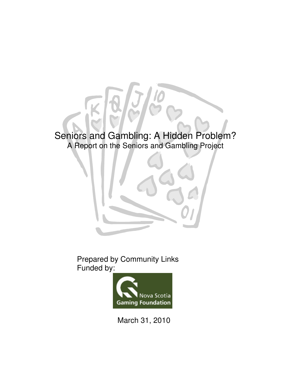# Seniors and Gambling: A Hidden Problem? A Report on the Seniors and Gambling Project





March 31, 2010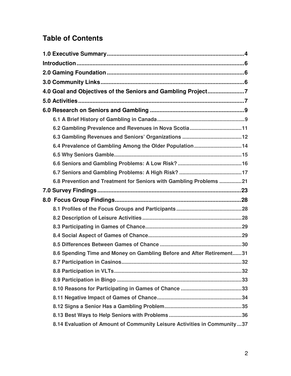# **Table of Contents**

| 4.0 Goal and Objectives of the Seniors and Gambling Project7               |
|----------------------------------------------------------------------------|
|                                                                            |
|                                                                            |
|                                                                            |
| 6.2 Gambling Prevalence and Revenues in Nova Scotia11                      |
|                                                                            |
| 6.4 Prevalence of Gambling Among the Older Population14                    |
|                                                                            |
|                                                                            |
|                                                                            |
| 6.8 Prevention and Treatment for Seniors with Gambling Problems 21         |
|                                                                            |
|                                                                            |
|                                                                            |
|                                                                            |
|                                                                            |
|                                                                            |
|                                                                            |
| 8.6 Spending Time and Money on Gambling Before and After Retirement31      |
| .32 <sub>1</sub><br>8.7 Participation in Casinos                           |
|                                                                            |
|                                                                            |
|                                                                            |
|                                                                            |
|                                                                            |
|                                                                            |
| 8.14 Evaluation of Amount of Community Leisure Activities in Community  37 |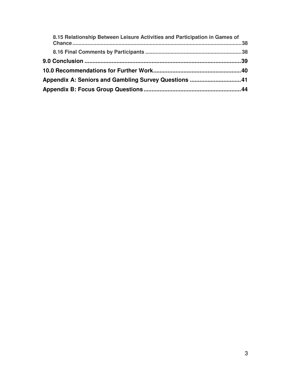| 8.15 Relationship Between Leisure Activities and Participation in Games of |  |
|----------------------------------------------------------------------------|--|
|                                                                            |  |
|                                                                            |  |
|                                                                            |  |
|                                                                            |  |
|                                                                            |  |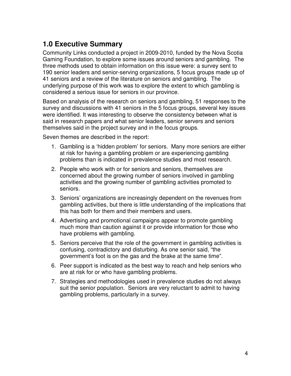## **1.0 Executive Summary**

Community Links conducted a project in 2009-2010, funded by the Nova Scotia Gaming Foundation, to explore some issues around seniors and gambling. The three methods used to obtain information on this issue were: a survey sent to 190 senior leaders and senior-serving organizations, 5 focus groups made up of 41 seniors and a review of the literature on seniors and gambling. The underlying purpose of this work was to explore the extent to which gambling is considered a serious issue for seniors in our province.

Based on analysis of the research on seniors and gambling, 51 responses to the survey and discussions with 41 seniors in the 5 focus groups, several key issues were identified. It was interesting to observe the consistency between what is said in research papers and what senior leaders, senior servers and seniors themselves said in the project survey and in the focus groups.

Seven themes are described in the report:

- 1. Gambling is a 'hidden problem' for seniors. Many more seniors are either at risk for having a gambling problem or are experiencing gambling problems than is indicated in prevalence studies and most research.
- 2. People who work with or for seniors and seniors, themselves are concerned about the growing number of seniors involved in gambling activities and the growing number of gambling activities promoted to seniors.
- 3. Seniors' organizations are increasingly dependent on the revenues from gambling activities, but there is little understanding of the implications that this has both for them and their members and users.
- 4. Advertising and promotional campaigns appear to promote gambling much more than caution against it or provide information for those who have problems with gambling.
- 5. Seniors perceive that the role of the government in gambling activities is confusing, contradictory and disturbing. As one senior said, "the government's foot is on the gas and the brake at the same time".
- 6. Peer support is indicated as the best way to reach and help seniors who are at risk for or who have gambling problems.
- 7. Strategies and methodologies used in prevalence studies do not always suit the senior population. Seniors are very reluctant to admit to having gambling problems, particularly in a survey.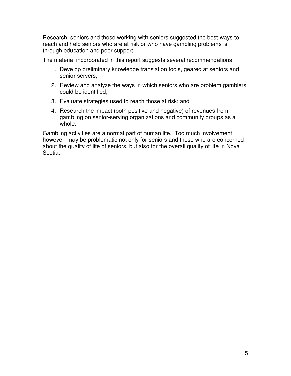Research, seniors and those working with seniors suggested the best ways to reach and help seniors who are at risk or who have gambling problems is through education and peer support.

The material incorporated in this report suggests several recommendations:

- 1. Develop preliminary knowledge translation tools, geared at seniors and senior servers;
- 2. Review and analyze the ways in which seniors who are problem gamblers could be identified;
- 3. Evaluate strategies used to reach those at risk; and
- 4. Research the impact (both positive and negative) of revenues from gambling on senior-serving organizations and community groups as a whole.

Gambling activities are a normal part of human life. Too much involvement, however, may be problematic not only for seniors and those who are concerned about the quality of life of seniors, but also for the overall quality of life in Nova Scotia.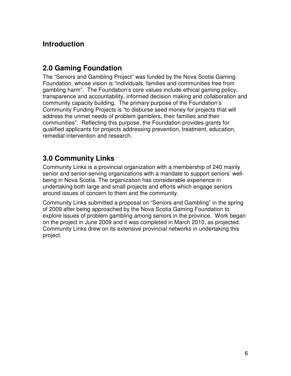# **Introduction**

# **2.0 Gaming Foundation**

The "Seniors and Gambling Project" was funded by the Nova Scotia Gaming Foundation, whose vision is "individuals, families and communities free from gambling harm". The Foundation's core values include ethical gaming policy, transparence and accountability, informed decision making and collaboration and community capacity building. The primary purpose of the Foundation's Community Funding Projects is "to disburse seed money for projects that will address the unmet needs of problem gamblers, their families and their communities". Reflecting this purpose, the Foundation provides grants for qualified applicants for projects addressing prevention, treatment, education, remedial intervention and research.

# **3.0 Community Links**

Community Links is a provincial organization with a membership of 240 mainly senior and senior-serving organizations with a mandate to support seniors' wellbeing in Nova Scotia. The organization has considerable experience in undertaking both large and small projects and efforts which engage seniors around issues of concern to them and the community.

Community Links submitted a proposal on "Seniors and Gambling" in the spring of 2009 after being approached by the Nova Scotia Gaming Foundation to explore issues of problem gambling among seniors in the province. Work began on the project in June 2009 and it was completed in March 2010, as projected. Community Links drew on its extensive provincial networks in undertaking this project.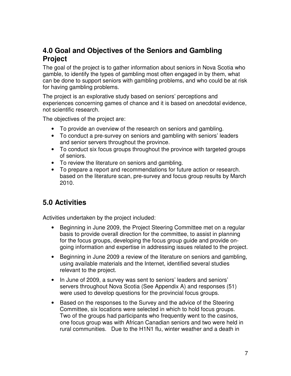## **4.0 Goal and Objectives of the Seniors and Gambling Project**

The goal of the project is to gather information about seniors in Nova Scotia who gamble, to identify the types of gambling most often engaged in by them, what can be done to support seniors with gambling problems, and who could be at risk for having gambling problems.

The project is an explorative study based on seniors' perceptions and experiences concerning games of chance and it is based on anecdotal evidence, not scientific research.

The objectives of the project are:

- To provide an overview of the research on seniors and gambling.
- To conduct a pre-survey on seniors and gambling with seniors' leaders and senior servers throughout the province.
- To conduct six focus groups throughout the province with targeted groups of seniors.
- To review the literature on seniors and gambling.
- To prepare a report and recommendations for future action or research. based on the literature scan, pre-survey and focus group results by March 2010.

# **5.0 Activities**

Activities undertaken by the project included:

- Beginning in June 2009, the Project Steering Committee met on a regular basis to provide overall direction for the committee, to assist in planning for the focus groups, developing the focus group guide and provide ongoing information and expertise in addressing issues related to the project.
- Beginning in June 2009 a review of the literature on seniors and gambling, using available materials and the Internet, identified several studies relevant to the project.
- In June of 2009, a survey was sent to seniors' leaders and seniors' servers throughout Nova Scotia (See Appendix A) and responses (51) were used to develop questions for the provincial focus groups.
- Based on the responses to the Survey and the advice of the Steering Committee, six locations were selected in which to hold focus groups. Two of the groups had participants who frequently went to the casinos, one focus group was with African Canadian seniors and two were held in rural communities. Due to the H1N1 flu, winter weather and a death in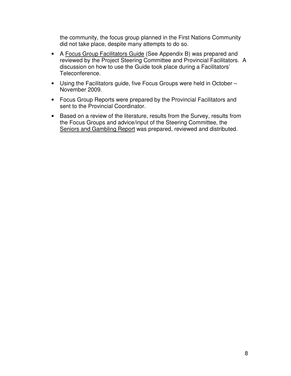the community, the focus group planned in the First Nations Community did not take place, despite many attempts to do so.

- A Focus Group Facilitators Guide (See Appendix B) was prepared and reviewed by the Project Steering Committee and Provincial Facilitators. A discussion on how to use the Guide took place during a Facilitators' Teleconference.
- Using the Facilitators guide, five Focus Groups were held in October November 2009.
- Focus Group Reports were prepared by the Provincial Facilitators and sent to the Provincial Coordinator.
- Based on a review of the literature, results from the Survey, results from the Focus Groups and advice/input of the Steering Committee, the Seniors and Gambling Report was prepared, reviewed and distributed.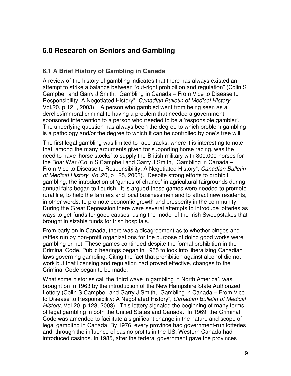# **6.0 Research on Seniors and Gambling**

## **6.1 A Brief History of Gambling in Canada**

A review of the history of gambling indicates that there has always existed an attempt to strike a balance between "out-right prohibition and regulation" (Colin S Campbell and Garry J Smith, "Gambling in Canada – From Vice to Disease to Responsibility: A Negotiated History", *Canadian Bulletin of Medical History,* Vol.20, p.121, 2003). A person who gambled went from being seen as a derelict/immoral criminal to having a problem that needed a government sponsored intervention to a person who needed to be a 'responsible gambler'. The underlying question has always been the degree to which problem gambling is a pathology and/or the degree to which it can be controlled by one's free will.

The first legal gambling was limited to race tracks, where it is interesting to note that, among the many arguments given for supporting horse racing, was the need to have 'horse stocks' to supply the British military with 800,000 horses for the Boar War (Colin S Campbell and Garry J Smith, "Gambling in Canada – From Vice to Disease to Responsibility: A Negotiated History", *Canadian Bulletin of Medical History,* Vol.20, p 125, 2003). Despite strong efforts to prohibit gambling, the introduction of 'games of chance' in agricultural fairgrounds during annual fairs began to flourish. It is argued these games were needed to promote rural life, to help the farmers and local businessmen and to attract new residents, in other words, to promote economic growth and prosperity in the community. During the Great Depression there were several attempts to introduce lotteries as ways to get funds for good causes, using the model of the Irish Sweepstakes that brought in sizable funds for Irish hospitals.

From early on in Canada, there was a disagreement as to whether bingos and raffles run by non-profit organizations for the purpose of doing good works were gambling or not. These games continued despite the formal prohibition in the Criminal Code. Public hearings began in 1955 to look into liberalizing Canadian laws governing gambling. Citing the fact that prohibition against alcohol did not work but that licensing and regulation had proved effective, changes to the Criminal Code began to be made.

What some histories call the 'third wave in gambling in North America', was brought on in 1963 by the introduction of the New Hampshire State Authorized Lottery (Colin S Campbell and Garry J Smith, "Gambling in Canada – From Vice to Disease to Responsibility: A Negotiated History", *Canadian Bulletin of Medical History,* Vol.20, p 128, 2003). This lottery signaled the beginning of many forms of legal gambling in both the United States and Canada. In 1969, the Criminal Code was amended to facilitate a significant change in the nature and scope of legal gambling in Canada. By 1976, every province had government-run lotteries and, through the influence of casino profits in the US, Western Canada had introduced casinos. In 1985, after the federal government gave the provinces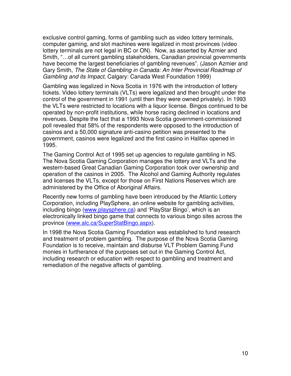exclusive control gaming, forms of gambling such as video lottery terminals, computer gaming, and slot machines were legalized in most provinces (video lottery terminals are not legal in BC or ON). Now, as asserted by Azmier and Smith, "…of all current gambling stakeholders, Canadian provincial governments have become the largest beneficiaries of gambling revenues". (Jason Azmier and Gary Smith, *The State of Gambling in Canada: An Inter Provincial Roadmap of Gambling and its Impact*, Calgary: Canada West Foundation 1999)

Gambling was legalized in Nova Scotia in 1976 with the introduction of lottery tickets. Video lottery terminals (VLTs) were legalized and then brought under the control of the government in 1991 (until then they were owned privately). In 1993 the VLTs were restricted to locations with a liquor license. Bingos continued to be operated by non-profit institutions, while horse racing declined in locations and revenues. Despite the fact that a 1993 Nova Scotia government-commissioned poll revealed that 58% of the respondents were opposed to the introduction of casinos and a 50,000 signature anti-casino petition was presented to the government, casinos were legalized and the first casino in Halifax opened in 1995.

The Gaming Control Act of 1995 set up agencies to regulate gambling in NS. The Nova Scotia Gaming Corporation manages the lottery and VLTs and the western-based Great Canadian Gaming Corporation took over ownership and operation of the casinos in 2005. The Alcohol and Gaming Authority regulates and licenses the VLTs, except for those on First Nations Reserves which are administered by the Office of Aboriginal Affairs.

Recently new forms of gambling have been introduced by the Atlantic Lottery Corporation, including PlaySphere, an online website for gambling activities, including bingo (www.playsphere.ca) and 'PlayStar Bingo', which is an electronically linked bingo game that connects to various bingo sites across the province (www.alc.ca/SuperStatBingo.aspx).

In 1998 the Nova Scotia Gaming Foundation was established to fund research and treatment of problem gambling. The purpose of the Nova Scotia Gaming Foundation is to receive, maintain and disburse VLT Problem Gaming Fund monies in furtherance of the purposes set out in the Gaming Control Act, including research or education with respect to gambling and treatment and remediation of the negative affects of gambling.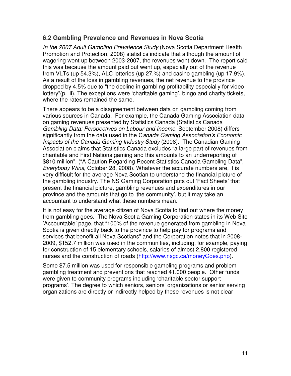#### **6.2 Gambling Prevalence and Revenues in Nova Scotia**

*In the 2007 Adult Gambling Prevalence Study* (Nova Scotia Department Health Promotion and Protection, 2008) statistics indicate that although the amount of wagering went up between 2003-2007, the revenues went down. The report said this was because the amount paid out went up, especially out of the revenue from VLTs (up 54.3%), ALC lotteries (up 27.%) and casino gambling (up 17.9%). As a result of the loss in gambling revenues, the net revenue to the province dropped by 4.5% due to "the decline in gambling profitability especially for video lottery"(p. iii). The exceptions were 'charitable gaming', bingo and charity tickets, where the rates remained the same.

There appears to be a disagreement between data on gambling coming from various sources in Canada. For example, the Canada Gaming Association data on gaming revenues presented by Statistics Canada (Statistics Canada *Gambling Data: Perspectives on Labour and Income*, September 2008) differs significantly from the data used in the C*anada Gaming Association's Economic Impacts of the Canada Gaming Industry Study* (2008). The Canadian Gaming Association claims that Statistics Canada excludes "a large part of revenues from charitable and First Nations gaming and this amounts to an underreporting of \$810 million". ("A Caution Regarding Recent Statistics Canada Gambling Data", *Everybody Wins*, October 28, 2008). Whatever the accurate numbers are, it is very difficult for the average Nova Scotian to understand the financial picture of the gambling industry. The NS Gaming Corporation puts out 'Fact Sheets' that present the financial picture, gambling revenues and expenditures in our province and the amounts that go to 'the community', but it may take an accountant to understand what these numbers mean.

It is not easy for the average citizen of Nova Scotia to find out where the money from gambling goes. The Nova Scotia Gaming Corporation states in its Web Site 'Accountable' page, that "100% of the revenue generated from gambling in Nova Scotia is given directly back to the province to help pay for programs and services that benefit all Nova Scotians" and the Corporation notes that in 2008- 2009, \$152.7 million was used in the communities, including, for example, paying for construction of 15 elementary schools, salaries of almost 2,800 registered nurses and the construction of roads (http://www.nsgc.ca/moneyGoes.php).

Some \$7.5 million was used for responsible gambling programs and problem gambling treatment and preventions that reached 41.000 people. Other funds were given to community programs including 'charitable sector support programs'. The degree to which seniors, seniors' organizations or senior serving organizations are directly or indirectly helped by these revenues is not clear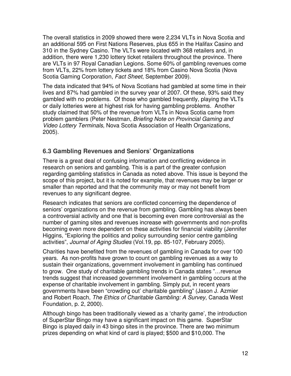The overall statistics in 2009 showed there were 2,234 VLTs in Nova Scotia and an additional 595 on First Nations Reserves, plus 655 in the Halifax Casino and 310 in the Sydney Casino. The VLTs were located with 368 retailers and, in addition, there were 1,230 lottery ticket retailers throughout the province. There are VLTs in 97 Royal Canadian Legions. Some 60% of gambling revenues come from VLTs, 22% from lottery tickets and 18% from Casino Nova Scotia (Nova Scotia Gaming Corporation, *Fact Sheet*, September 2009).

The data indicated that 94% of Nova Scotians had gambled at some time in their lives and 87% had gambled in the survey year of 2007. Of these, 93% said they gambled with no problems. Of those who gambled frequently, playing the VLTs or daily lotteries were at highest risk for having gambling problems. Another study claimed that 50% of the revenue from VLTs in Nova Scotia came from problem gamblers (Peter Nestman, *Briefing Note on Provincial Gaming and Video Lottery Terminals*, Nova Scotia Association of Health Organizations, 2005).

## **6.3 Gambling Revenues and Seniors' Organizations**

There is a great deal of confusing information and conflicting evidence in research on seniors and gambling. This is a part of the greater confusion regarding gambling statistics in Canada as noted above. This issue is beyond the scope of this project, but it is noted for example, that revenues may be larger or smaller than reported and that the community may or may not benefit from revenues to any significant degree.

Research indicates that seniors are conflicted concerning the dependence of seniors' organizations on the revenue from gambling. Gambling has always been a controversial activity and one that is becoming even more controversial as the number of gaming sites and revenues increase with governments and non-profits becoming even more dependent on these activities for financial viability (Jennifer Higgins, "Exploring the politics and policy surrounding senior centre gambling activities", *Journal of Aging Studies* (Vol.19, pp. 85-107, February 2005).

Charities have benefited from the revenues of gambling in Canada for over 100 years. As non-profits have grown to count on gambling revenues as a way to sustain their organizations, government involvement in gambling has continued to grow. One study of charitable gambling trends in Canada states "…revenue trends suggest that increased government involvement in gambling occurs at the expense of charitable involvement in gambling. Simply put, in recent years governments have been "crowding out' charitable gambling" (Jason J. Azmier and Robert Roach, *The Ethics of Charitable Gambling: A Survey*, Canada West Foundation, p. 2, 2000).

Although bingo has been traditionally viewed as a 'charity game', the introduction of SuperStar Bingo may have a significant impact on this game. SuperStar Bingo is played daily in 43 bingo sites in the province. There are two minimum prizes depending on what kind of card is played; \$500 and \$10,000. The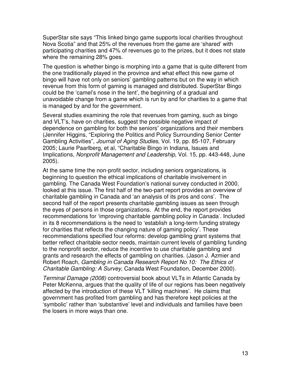SuperStar site says "This linked bingo game supports local charities throughout Nova Scotia" and that 25% of the revenues from the game are 'shared' with participating charities and 47% of revenues go to the prizes, but it does not state where the remaining 28% goes.

The question is whether bingo is morphing into a game that is quite different from the one traditionally played in the province and what effect this new game of bingo will have not only on seniors' gambling patterns but on the way in which revenue from this form of gaming is managed and distributed. SuperStar Bingo could be the 'camel's nose in the tent', the beginning of a gradual and unavoidable change from a game which is run by and for charities to a game that is managed by and for the government.

Several studies examining the role that revenues from gaming, such as bingo and VLT's, have on charities, suggest the possible negative impact of dependence on gambling for both the seniors**'** organizations and their members (Jennifer Higgins, "Exploring the Politics and Policy Surrounding Senior Center Gambling Activities", *Journal of Aging Studies*, Vol. 19, pp. 85-107, February 2005; Laurie Paarlberg, et al, "Charitable Bingo in Indiana, Issues and Implications, *Nonprofit Management and Leadership*, Vol. 15, pp. 443-448, June 2005).

At the same time the non-profit sector, including seniors organizations, is beginning to question the ethical implications of charitable involvement in gambling. The Canada West Foundation's national survey conducted in 2000, looked at this issue. The first half of the two-part report provides an overview of charitable gambling in Canada and 'an analysis of its pros and cons'. The second half of the report presents charitable gambling issues as seen through the eyes of persons in those organizations. At the end, the report provides recommendations for 'improving charitable gambling policy in Canada'. Included in its 8 recommendations is the need to 'establish a long-term funding strategy for charities that reflects the changing nature of gaming policy'. These recommendations specified four reforms: develop gambling grant systems that better reflect charitable sector needs, maintain current levels of gambling funding to the nonprofit sector, reduce the incentive to use charitable gambling and grants and research the effects of gambling on charities. (Jason J. Azmier and Robert Roach, *Gambling in Canada Research Report No 10: The Ethics of Charitable Gambling: A Survey*, Canada West Foundation, December 2000).

*Terminal Damage (2008)* controversial book about VLTs in Atlantic Canada by Peter McKenna, argues that the quality of life of our regions has been negatively affected by the introduction of these VLT 'killing machines'. He claims that government has profited from gambling and has therefore kept policies at the 'symbolic' rather than 'substantive' level and individuals and families have been the losers in more ways than one.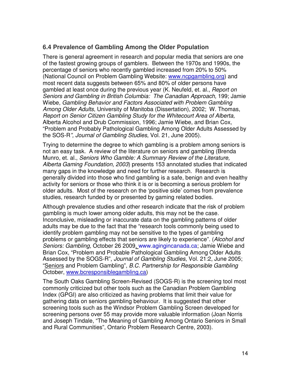## **6.4 Prevalence of Gambling Among the Older Population**

There is general agreement in research and popular media that seniors are one of the fastest growing groups of gamblers. Between the 1970s and 1990s, the percentage of seniors who recently gambled increased from 20% to 50% (National Council on Problem Gambling Website: www.ncpgambling.org) and most recent data suggests between 65% and 80% of older persons have gambled at least once during the previous year (K. Neufeld, et. al., *Report on Seniors and Gambling in British Columbia: The Canadian Approach,* 199; Jamie Wiebe, *Gambling Behavior and Factors Associated with Problem Gambling Among Older Adults*, University of Manitoba (Dissertation), 2002; W. Thomas, *Report on Senior Citizen Gambling Study for the Whitecourt Area of Alberta,* Alberta Alcohol and Drub Commission, 1996; Jamie Wiebe, and Brian Cox, "Problem and Probably Pathological Gambling Among Older Adults Assessed by the SOS-R*", Journal of Gambling Studies,* Vol. 21, June 2005).

Trying to determine the degree to which gambling is a problem among seniors is not an easy task. A review of the literature on seniors and gambling (Brenda Munro, et. al., *Seniors Who Gamble: A Summary Review of the Literature, Alberta Gaming Foundation, 2003*) presents 153 annotated studies that indicated many gaps in the knowledge and need for further research. Research is generally divided into those who find gambling is a safe, benign and even healthy activity for seniors or those who think it is or is becoming a serious problem for older adults. Most of the research on the 'positive side' comes from prevalence studies, research funded by or presented by gaming related bodies.

Although prevalence studies and other research indicate that the risk of problem gambling is much lower among older adults, this may not be the case. Inconclusive, misleading or inaccurate data on the gambling patterns of older adults may be due to the fact that the "research tools commonly being used to identify problem gambling may not be sensitive to the types of gambling problems or gambling effects that seniors are likely to experience". (*Alcohol and Seniors: Gambling,* October 26 2009, www.agingincanada.ca; Jamie Wiebe and Brian Cox, "Problem and Probable Pathological Gambling Among Older Adults Assessed by the SOGS-R", *Journal of Gambling Studies*, Vol. 21:2, June 2005; "Seniors and Problem Gambling", *B.C. Partnership for Responsible Gambling* October, www.bcresponsiblegambling.ca)

The South Oaks Gambling Screen-Revised (SOGS-R) is the screening tool most commonly criticized but other tools such as the Canadian Problem Gambling Index (GPGI) are also criticized as having problems that limit their value for gathering data on seniors gambling behaviour. It is suggested that other screening tools such as the Windsor Problem Gambling Screen developed for screening persons over 55 may provide more valuable information (Joan Norris and Joseph Tindale, "The Meaning of Gambling Among Ontario Seniors in Small and Rural Communities", Ontario Problem Research Centre, 2003).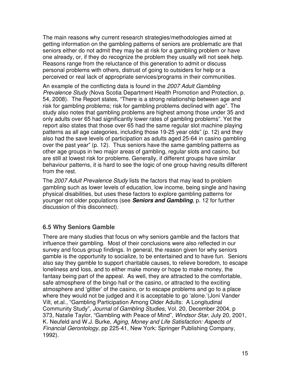The main reasons why current research strategies/methodologies aimed at getting information on the gambling patterns of seniors are problematic are that seniors either do not admit they may be at risk for a gambling problem or have one already, or, if they do recognize the problem they usually will not seek help. Reasons range from the reluctance of this generation to admit or discuss personal problems with others, distrust of going to outsiders for help or a perceived or real lack of appropriate services/programs in their communities.

An example of the conflicting data is found in the *2007 Adult Gambling Prevalence Study* (Nova Scotia Department Health Promotion and Protection, p. 54, 2008). The Report states, "There is a strong relationship between age and risk for gambling problems; risk for gambling problems declined with age". The study also notes that gambling problems are highest among those under 35 and only adults over 65 had significantly lower rates of gambling problems". Yet the report also states that those over 65 had the same regular slot machine playing patterns as all age categories, including those 19-25 year olds" (p. 12) and they also had the save levels of participation as adults aged 25-64 in casino gambling over the past year" (p. 12). Thus seniors have the same gambling patterns as other age groups in two major areas of gambling, regular slots and casino, but are still at lowest risk for problems. Generally, if different groups have similar behaviour patterns, it is hard to see the logic of one group having results different from the rest.

The *2007 Adult Prevalence Study* lists the factors that may lead to problem gambling such as lower levels of education, low income, being single and having physical disabilities, but uses these factors to explore gambling patterns for younger not older populations (see *Seniors and Gambling*, p. 12 for further discussion of this disconnect).

## **6.5 Why Seniors Gamble**

There are many studies that focus on why seniors gamble and the factors that influence their gambling. Most of their conclusions were also reflected in our survey and focus group findings. In general, the reason given for why seniors gamble is the opportunity to socialize, to be entertained and to have fun. Seniors also say they gamble to support charitable causes, to relieve boredom, to escape loneliness and loss, and to either make money or hope to make money, the fantasy being part of the appeal. As well, they are attracted to the comfortable, safe atmosphere of the bingo hall or the casino, or attracted to the exciting atmosphere and 'glitter' of the casino, or to escape problems and go to a place where they would not be judged and it is acceptable to go 'alone.'(Joni Vander Vilt, et.al., "Gambling Participation Among Older Adults: A Longitudinal Community Study", *Journal of Gambling Studies*, Vol. 20, December 2004, p 373, Natalie Taylor, "Gambling with Peace of Mind", *Windsor Star*, July 20, 2001, K. Neufeld and W.J. Burke, *Aging, Money and Life Satisfaction: Aspects of Financial Gerontology,* pp 225-41, New York: Springer Publishing Company, 1992).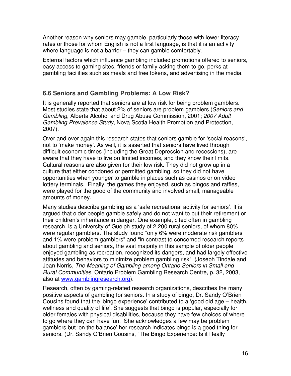Another reason why seniors may gamble, particularly those with lower literacy rates or those for whom English is not a first language, is that it is an activity where language is not a barrier – they can gamble comfortably.

External factors which influence gambling included promotions offered to seniors, easy access to gaming sites, friends or family asking them to go, perks at gambling facilities such as meals and free tokens, and advertising in the media.

## **6.6 Seniors and Gambling Problems: A Low Risk?**

It is generally reported that seniors are at low risk for being problem gamblers. Most studies state that about 2% of seniors are problem gamblers (*Seniors and Gambling*, Alberta Alcohol and Drug Abuse Commission, 2001; *2007 Adult Gambling Prevalence Study*, Nova Scotia Health Promotion and Protection, 2007).

Over and over again this research states that seniors gamble for 'social reasons', not to 'make money'. As well, it is asserted that seniors have lived through difficult economic times (including the Great Depression and recessions), are aware that they have to live on limited incomes, and they know their limits. Cultural reasons are also given for their low risk. They did not grow up in a culture that either condoned or permitted gambling, so they did not have opportunities when younger to gamble in places such as casinos or on video lottery terminals. Finally, the games they enjoyed, such as bingos and raffles, were played for the good of the community and involved small, manageable amounts of money.

Many studies describe gambling as a 'safe recreational activity for seniors'. It is argued that older people gamble safely and do not want to put their retirement or their children's inheritance in danger. One example, cited often in gambling research, is a University of Guelph study of 2,200 rural seniors, of whom 80% were regular gamblers. The study found "only 6% were moderate risk gamblers and 1% were problem gamblers" and "in contrast to concerned research reports about gambling and seniors, the vast majority in this sample of older people enjoyed gambling as recreation, recognized its dangers, and had largely effective attitudes and behaviors to minimize problem gambling risk" (Joseph Tindale and Jean Norris, *The Meaning of Gambling among Ontario Seniors in Small and Rural Communities*, Ontario Problem Gambling Research Centre, p. 32, 2003, also at www.gamblingresearch.org).

Research, often by gaming-related research organizations, describes the many positive aspects of gambling for seniors. In a study of bingo, Dr. Sandy O'Brien Cousins found that the 'bingo experience' contributed to a 'good old age – health, wellness and quality of life'. She suggests that bingo is popular, especially for older females with physical disabilities, because they have few choices of where to go where they can have fun. She acknowledges a few may be problem gamblers but 'on the balance' her research indicates bingo is a good thing for seniors. (Dr. Sandy O'Brien Cousins, "The Bingo Experience: Is it Really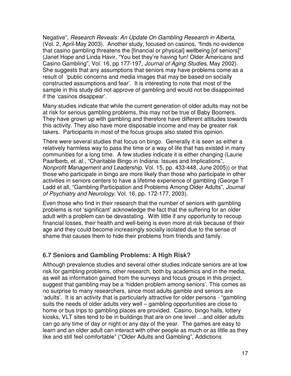Negative", *Research Reveals: An Update On Gambling Research in Alberta*, (Vol. 2, April-May 2003). Another study, focused on casinos, "finds no evidence that casino gambling threatens the [financial or physical] wellbeing [of seniors]" (Janet Hope and Linda Havir, "You bet they're having fun! Older Americans and Casino Gambling", Vol. 16, pp 177-197, *Journal of Aging Studies,* May 2002). She suggests that any assumptions that seniors may have problems come as a result of 'public concerns and media images that may be based on socially constructed assumptions and fear'. It is interesting to note that most of the sample in this study did not approve of gambling and would not be disappointed if the 'casinos disappear'.

Many studies indicate that while the current generation of older adults may not be at risk for serious gambling problems, this may not be true of Baby Boomers. They have grown up with gambling and therefore have different attitudes towards this activity. They also have more disposable income and may be greater risk takers. Participants in most of the focus groups also stated this opinion.

There were several studies that focus on bingo. Generally it is seen as either a relatively harmless way to pass the time or a way of life that has existed in many communities for a long time. A few studies indicate it is either changing (Laurie Paarlberb, et. al., "Charitable Bingo in Indiana: Issues and Implications", *Nonprofit Management and Leadership*, Vol. 15, pp. 433-448, June 2005)) or that those who participate in bingo are more likely than those who participate in other activities in seniors centers to have a lifetime experience of gambling (George T Ladd et all, "Gambling Participation and Problems Among Older Adults", *Journal of Psychiatry and Neurology*, Vol. 16, pp. 172-177, 2003).

Even those who find in their research that the number of seniors with gambling problems is not 'significant' acknowledge the fact that the suffering for an older adult with a problem can be devastating. With little if any opportunity to recoup financial losses, their health and well-being is even more at risk because of their age and they could become increasingly socially isolated due to the sense of shame that causes them to hide their problems from friends and family.

## **6.7 Seniors and Gambling Problems: A High Risk?**

Although prevalence studies and several other studies indicate seniors are at low risk for gambling problems, other research, both by academics and in the media, as well as information gained from the surveys and focus groups in this project, suggest that gambling may be a 'hidden problem among seniors'. This comes as no surprise to many researchers, since most adults gamble and seniors are 'adults'. It is an activity that is particularly attractive for older persons - "gambling suits the needs of older adults very well – gambling opportunities are close to home or bus trips to gambling places are provided. Casino, bingo halls, lottery kiosks, VLT sites tend to be in buildings that are on one level …and older adults can go any time of day or night or any day of the year. The games are easy to learn and an older adult can interact with other people as much or as little as they like and still feel comfortable" ("Older Adults and Gambling", Addictions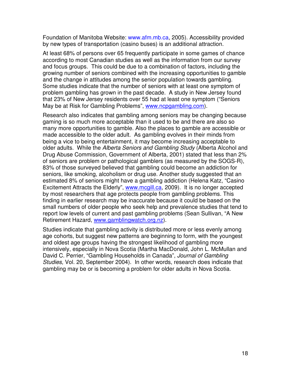Foundation of Manitoba Website: www.afm.mb.ca, 2005). Accessibility provided by new types of transportation (casino buses) is an additional attraction.

At least 68% of persons over 65 frequently participate in some games of chance according to most Canadian studies as well as the information from our survey and focus groups. This could be due to a combination of factors, including the growing number of seniors combined with the increasing opportunities to gamble and the change in attitudes among the senior population towards gambling. Some studies indicate that the number of seniors with at least one symptom of problem gambling has grown in the past decade. A study in New Jersey found that 23% of New Jersey residents over 55 had at least one symptom ("Seniors May be at Risk for Gambling Problems", www.ncpgambling.com).

Research also indicates that gambling among seniors may be changing because gaming is so much more acceptable than it used to be and there are also so many more opportunities to gamble. Also the places to gamble are accessible or made accessible to the older adult. As gambling evolves in their minds from being a vice to being entertainment, it may become increasing acceptable to older adults. While the *Alberta Seniors and Gambling Study* (Alberta Alcohol and Drug Abuse Commission, Government of Alberta, 2001) stated that less than 2% of seniors are problem or pathological gamblers (as measured by the SOGS-R), 83% of those surveyed believed that gambling could become an addiction for seniors, like smoking, alcoholism or drug use. Another study suggested that an estimated 8% of seniors might have a gambling addiction (Helena Katz, "Casino Excitement Attracts the Elderly", www.mcgill.ca, 2009). It is no longer accepted by most researchers that age protects people from gambling problems. This finding in earlier research may be inaccurate because it could be based on the small numbers of older people who seek help and prevalence studies that tend to report low levels of current and past gambling problems (Sean Sullivan, "A New Retirement Hazard, www.gamblingwatch.org.nz).

Studies indicate that gambling activity is distributed more or less evenly among age cohorts, but suggest new patterns are beginning to form, with the youngest and oldest age groups having the strongest likelihood of gambling more intensively, especially in Nova Scotia (Martha MacDonald, John L. McMullan and David C. Perrier, "Gambling Households in Canada", *Journal of Gambling Studies,* Vol. 20, September 2004). In other words, research does indicate that gambling may be or is becoming a problem for older adults in Nova Scotia.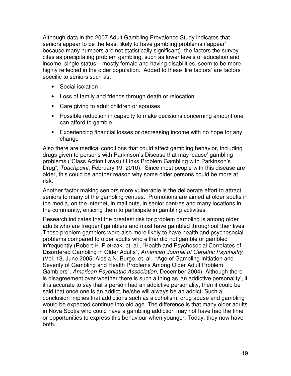Although data in the 2007 Adult Gambling Prevalence Study indicates that seniors appear to be the least likely to have gambling problems ('appear' because many numbers are not statistically significant), the factors the survey cites as precipitating problem gambling, such as lower levels of education and income, single status – mostly female and having disabilities, seem to be more highly reflected in the older population. Added to these 'life factors' are factors specific to seniors such as:

- Social isolation
- Loss of family and friends through death or relocation
- Care giving to adult children or spouses
- Possible reduction in capacity to make decisions concerning amount one can afford to gamble
- Experiencing financial losses or decreasing income with no hope for any change

Also there are medical conditions that could affect gambling behavior, including drugs given to persons with Parkinson's Disease that may 'cause' gambling problems ("Class Action Lawsuit Links Problem Gambling with Parkinson's Drug", *Touchpoint*, February 19, 2010). Since most people with this disease are older, this could be another reason why some older persons could be more at risk.

Another factor making seniors more vulnerable is the deliberate effort to attract seniors to many of the gambling venues. Promotions are aimed at older adults in the media, on the internet, in mail outs, in senior centres and many locations in the community, enticing them to participate in gambling activities.

Research indicates that the greatest risk for problem gambling is among older adults who are frequent gamblers and most have gambled throughout their lives. These problem gamblers were also more likely to have health and psychosocial problems compared to older adults who either did not gamble or gambled infrequently (Robert H. Pietrzak, et. al., "Health and Psychosocial Correlates of Disordered Gambling in Older Adults", *American Journal of Geriatric Psychiatry* (Vol. 13, June 2005; Alesia N. Burge, et. al., "Age of Gambling Initiation and Severity of Gambling and Health Problems Among Older Adult Problem Gamblers", *American Psychiatric Association,* December 2004). Although there is disagreement over whether there is such a thing as 'an addictive personality', if it is accurate to say that a person had an addictive personality, then it could be said that once one is an addict, he/she will always be an addict. Such a conclusion implies that addictions such as alcoholism, drug abuse and gambling would be expected continue into old age. The difference is that many older adults in Nova Scotia who could have a gambling addiction may not have had the time or opportunities to express this behaviour when younger. Today, they now have both.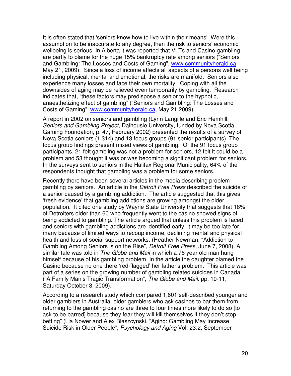It is often stated that 'seniors know how to live within their means'. Were this assumption to be inaccurate to any degree, then the risk to seniors' economic wellbeing is serious. In Alberta it was reported that VLTs and Casino gambling are partly to blame for the huge 15% bankruptcy rate among seniors ("Seniors and Gambling: The Losses and Costs of Gaming", www.communityherald.ca, May 21, 2009). Since a loss of income affects all aspects of a persons well being including physical, mental and emotional, the risks are manifold. Seniors also experience many losses and face their own mortality. Coping with all the downsides of aging may be relieved even temporarily by gambling. Research indicates that, "these factors may predispose a senior to the hypnotic, anaesthetizing effect of gambling" ("Seniors and Gambling: The Losses and Costs of Gaming", www.communityherald.ca, May 21 2009).

A report in 2002 on seniors and gambling (Lynn Langille and Eric Hemhill, *Seniors and Gambling Project*, Dalhousie University, funded by Nova Scotia Gaming Foundation, p. 47, February 2002) presented the results of a survey of Nova Scotia seniors (1,314) and 13 focus groups (91 senior participants). The focus group findings present mixed views of gambling. Of the 91 focus group participants, 21 felt gambling was not a problem for seniors, 12 felt it could be a problem and 53 thought it was or was becoming a significant problem for seniors. In the surveys sent to seniors in the Halifax Regional Municipality, 64% of the respondents thought that gambling was a problem for some seniors.

Recently there have been several articles in the media describing problem gambling by seniors. An article in the *Detroit Free Press* described the suicide of a senior caused by a gambling addiction. The article suggested that this gives 'fresh evidence' that gambling addictions are growing amongst the older population. It cited one study by Wayne State University that suggests that 18% of Detroiters older than 60 who frequently went to the casino showed signs of being addicted to gambling. The article argued that unless this problem is faced and seniors with gambling addictions are identified early, it may be too late for many because of limited ways to recoup income, declining mental and physical health and loss of social support networks. (Heather Newman, "Addiction to Gambling Among Seniors is on the Rise", *Detroit Free Press*, June 7, 2008). A similar tale was told in *The Globe and Mail* in which a 76 year old man hung himself because of his gambling problem. In the article the daughter blamed the Casino because no one there 'red-flagged' her father's problem. This article was part of a series on the growing number of gambling related suicides in Canada ("A Family Man's Tragic Transformation", *The Globe and Mail*. pp. 10-11, Saturday October 3, 2009).

According to a research study which compared 1,601 self-described younger and older gamblers in Australia, older gamblers who ask casinos to bar them from returning to the gambling casino are three to four times more likely to do so [to ask to be barred] because they fear they will kill themselves if they don't stop betting" (Lia Nower and Alex Blaszcynski, "Aging: Gambling May Increase Suicide Risk in Older People", *Psychology and Aging* Vol. 23:2, September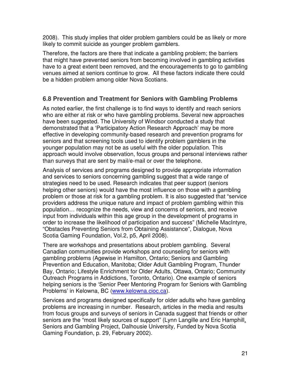2008). This study implies that older problem gamblers could be as likely or more likely to commit suicide as younger problem gamblers.

Therefore, the factors are there that indicate a gambling problem; the barriers that might have prevented seniors from becoming involved in gambling activities have to a great extent been removed, and the encouragements to go to gambling venues aimed at seniors continue to grow. All these factors indicate there could be a hidden problem among older Nova Scotians.

## **6.8 Prevention and Treatment for Seniors with Gambling Problems**

As noted earlier, the first challenge is to find ways to identify and reach seniors who are either at risk or who have gambling problems. Several new approaches have been suggested. The University of Windsor conducted a study that demonstrated that a 'Participatory Action Research Approach' may be more effective in developing community-based research and prevention programs for seniors and that screening tools used to identify problem gamblers in the younger population may not be as useful with the older population. This approach would involve observation, focus groups and personal interviews rather than surveys that are sent by mail/e-mail or over the telephone.

Analysis of services and programs designed to provide appropriate information and services to seniors concerning gambling suggest that a wide range of strategies need to be used. Research indicates that peer support (seniors helping other seniors) would have the most influence on those with a gambling problem or those at risk for a gambling problem. It is also suggested that "service providers address the unique nature and impact of problem gambling within this population… recognize the needs, view and concerns of seniors, and receive input from individuals within this age group in the development of programs in order to increase the likelihood of participation and success" (Michelle MacIntyre, "Obstacles Preventing Seniors from Obtaining Assistance", Dialogue, Nova Scotia Gaming Foundation, Vol.2, p5, April 2008).

There are workshops and presentations about problem gambling. Several Canadian communities provide workshops and counseling for seniors with gambling problems (Agewise in Hamilton, Ontario; Seniors and Gambling Prevention and Education, Manitoba; Older Adult Gambling Program, Thunder Bay, Ontario; Lifestyle Enrichment for Older Adults, Ottawa, Ontario; Community Outreach Programs in Addictions, Toronto, Ontario). One example of seniors helping seniors is the 'Senior Peer Mentoring Program for Seniors with Gambling Problems' in Kelowna, BC (www.kelowna.cioc.ca).

Services and programs designed specifically for older adults who have gambling problems are increasing in number. Research, articles in the media and results from focus groups and surveys of seniors in Canada suggest that friends or other seniors are the "most likely sources of support" (Lynn Langille and Eric Hamphill, Seniors and Gambling Project, Dalhousie University, Funded by Nova Scotia Gaming Foundation, p. 29, February 2002).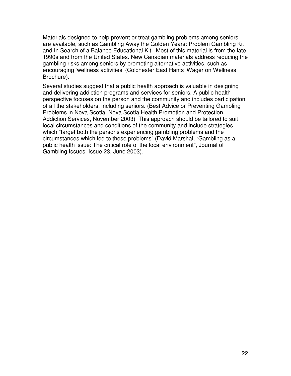Materials designed to help prevent or treat gambling problems among seniors are available, such as Gambling Away the Golden Years: Problem Gambling Kit and In Search of a Balance Educational Kit. Most of this material is from the late 1990s and from the United States. New Canadian materials address reducing the gambling risks among seniors by promoting alternative activities, such as encouraging 'wellness activities' (Colchester East Hants 'Wager on Wellness Brochure).

Several studies suggest that a public health approach is valuable in designing and delivering addiction programs and services for seniors. A public health perspective focuses on the person and the community and includes participation of all the stakeholders, including seniors. (Best Advice or Preventing Gambling Problems in Nova Scotia, Nova Scotia Health Promotion and Protection, Addiction Services, November 2003) This approach should be tailored to suit local circumstances and conditions of the community and include strategies which "target both the persons experiencing gambling problems and the circumstances which led to these problems" (David Marshal, "Gambling as a public health issue: The critical role of the local environment", Journal of Gambling Issues, Issue 23, June 2003).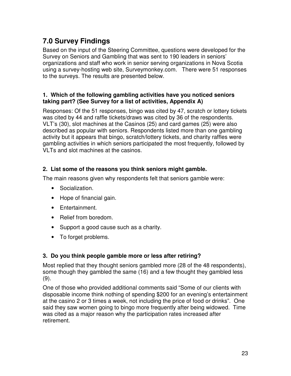# **7.0 Survey Findings**

Based on the input of the Steering Committee, questions were developed for the Survey on Seniors and Gambling that was sent to 190 leaders in seniors' organizations and staff who work in senior serving organizations in Nova Scotia using a survey-hosting web site, Surveymonkey.com. There were 51 responses to the surveys. The results are presented below.

#### **1. Which of the following gambling activities have you noticed seniors taking part? (See Survey for a list of activities, Appendix A)**

Responses: Of the 51 responses, bingo was cited by 47, scratch or lottery tickets was cited by 44 and raffle tickets/draws was cited by 36 of the respondents. VLT's (30), slot machines at the Casinos (25) and card games (25) were also described as popular with seniors. Respondents listed more than one gambling activity but it appears that bingo, scratch/lottery tickets, and charity raffles were gambling activities in which seniors participated the most frequently, followed by VLTs and slot machines at the casinos.

### **2. List some of the reasons you think seniors might gamble.**

The main reasons given why respondents felt that seniors gamble were:

- Socialization.
- Hope of financial gain.
- Entertainment.
- Relief from boredom.
- Support a good cause such as a charity.
- To forget problems.

#### **3. Do you think people gamble more or less after retiring?**

Most replied that they thought seniors gambled more (28 of the 48 respondents), some though they gambled the same (16) and a few thought they gambled less (9).

One of those who provided additional comments said "Some of our clients with disposable income think nothing of spending \$200 for an evening's entertainment at the casino 2 or 3 times a week, not including the price of food or drinks". One said they saw women going to bingo more frequently after being widowed. Time was cited as a major reason why the participation rates increased after retirement.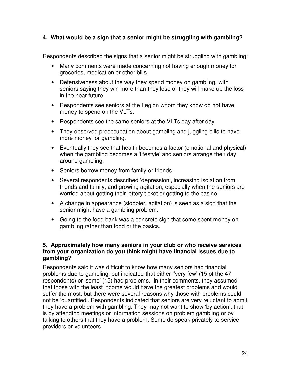#### **4. What would be a sign that a senior might be struggling with gambling?**

Respondents described the signs that a senior might be struggling with gambling:

- Many comments were made concerning not having enough money for groceries, medication or other bills.
- Defensiveness about the way they spend money on gambling, with seniors saying they win more than they lose or they will make up the loss in the near future.
- Respondents see seniors at the Legion whom they know do not have money to spend on the VLTs.
- Respondents see the same seniors at the VLTs day after day.
- They observed preoccupation about gambling and juggling bills to have more money for gambling.
- Eventually they see that health becomes a factor (emotional and physical) when the gambling becomes a 'lifestyle' and seniors arrange their day around gambling.
- Seniors borrow money from family or friends.
- Several respondents described 'depression', increasing isolation from friends and family, and growing agitation, especially when the seniors are worried about getting their lottery ticket or getting to the casino.
- A change in appearance (sloppier, agitation) is seen as a sign that the senior might have a gambling problem.
- Going to the food bank was a concrete sign that some spent money on gambling rather than food or the basics.

#### **5. Approximately how many seniors in your club or who receive services from your organization do you think might have financial issues due to gambling?**

Respondents said it was difficult to know how many seniors had financial problems due to gambling, but indicated that either ''very few' (15 of the 47 respondents) or 'some' (15) had problems. In their comments, they assumed that those with the least income would have the greatest problems and would suffer the most, but there were several reasons why those with problems could not be 'quantified'. Respondents indicated that seniors are very reluctant to admit they have a problem with gambling. They may not want to show 'by action', that is by attending meetings or information sessions on problem gambling or by talking to others that they have a problem. Some do speak privately to service providers or volunteers.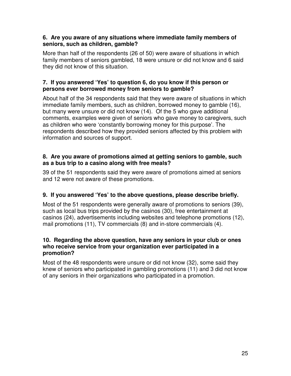#### **6. Are you aware of any situations where immediate family members of seniors, such as children, gamble?**

More than half of the respondents (26 of 50) were aware of situations in which family members of seniors gambled, 18 were unsure or did not know and 6 said they did not know of this situation.

#### **7. If you answered 'Yes' to question 6, do you know if this person or persons ever borrowed money from seniors to gamble?**

About half of the 34 respondents said that they were aware of situations in which immediate family members, such as children, borrowed money to gamble (16), but many were unsure or did not know (14). Of the 5 who gave additional comments, examples were given of seniors who gave money to caregivers, such as children who were 'constantly borrowing money for this purpose'. The respondents described how they provided seniors affected by this problem with information and sources of support.

#### **8. Are you aware of promotions aimed at getting seniors to gamble, such as a bus trip to a casino along with free meals?**

39 of the 51 respondents said they were aware of promotions aimed at seniors and 12 were not aware of these promotions.

## **9. If you answered 'Yes' to the above questions, please describe briefly.**

Most of the 51 respondents were generally aware of promotions to seniors (39), such as local bus trips provided by the casinos (30), free entertainment at casinos (24), advertisements including websites and telephone promotions (12), mail promotions (11), TV commercials (8) and in-store commercials (4).

#### **10. Regarding the above question, have any seniors in your club or ones who receive service from your organization ever participated in a promotion?**

Most of the 48 respondents were unsure or did not know (32), some said they knew of seniors who participated in gambling promotions (11) and 3 did not know of any seniors in their organizations who participated in a promotion.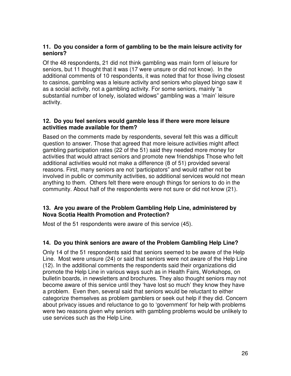#### **11. Do you consider a form of gambling to be the main leisure activity for seniors?**

Of the 48 respondents, 21 did not think gambling was main form of leisure for seniors, but 11 thought that it was (17 were unsure or did not know). In the additional comments of 10 respondents, it was noted that for those living closest to casinos, gambling was a leisure activity and seniors who played bingo saw it as a social activity, not a gambling activity. For some seniors, mainly "a substantial number of lonely, isolated widows" gambling was a 'main' leisure activity.

#### **12. Do you feel seniors would gamble less if there were more leisure activities made available for them?**

Based on the comments made by respondents, several felt this was a difficult question to answer. Those that agreed that more leisure activities might affect gambling participation rates (22 of the 51) said they needed more money for activities that would attract seniors and promote new friendships Those who felt additional activities would not make a difference (8 of 51) provided several reasons. First, many seniors are not 'participators" and would rather not be involved in public or community activities, so additional services would not mean anything to them. Others felt there were enough things for seniors to do in the community. About half of the respondents were not sure or did not know (21).

#### **13. Are you aware of the Problem Gambling Help Line, administered by Nova Scotia Health Promotion and Protection?**

Most of the 51 respondents were aware of this service (45).

#### **14. Do you think seniors are aware of the Problem Gambling Help Line?**

Only 14 of the 51 respondents said that seniors seemed to be aware of the Help Line. Most were unsure (24) or said that seniors were not aware of the Help Line (12). In the additional comments the respondents said their organizations did promote the Help Line in various ways such as in Health Fairs, Workshops, on bulletin boards, in newsletters and brochures. They also thought seniors may not become aware of this service until they 'have lost so much' they know they have a problem. Even then, several said that seniors would be reluctant to either categorize themselves as problem gamblers or seek out help if they did. Concern about privacy issues and reluctance to go to 'government' for help with problems were two reasons given why seniors with gambling problems would be unlikely to use services such as the Help Line.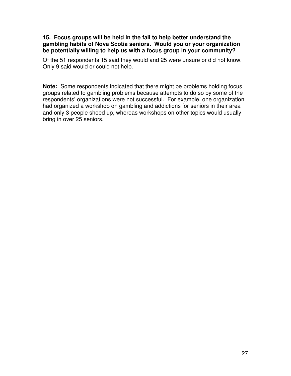#### **15. Focus groups will be held in the fall to help better understand the gambling habits of Nova Scotia seniors. Would you or your organization be potentially willing to help us with a focus group in your community?**

Of the 51 respondents 15 said they would and 25 were unsure or did not know. Only 9 said would or could not help.

**Note:** Some respondents indicated that there might be problems holding focus groups related to gambling problems because attempts to do so by some of the respondents' organizations were not successful. For example, one organization had organized a workshop on gambling and addictions for seniors in their area and only 3 people shoed up, whereas workshops on other topics would usually bring in over 25 seniors.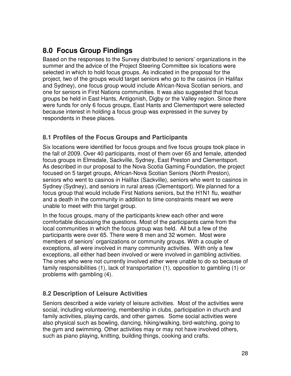# **8.0 Focus Group Findings**

Based on the responses to the Survey distributed to seniors' organizations in the summer and the advice of the Project Steering Committee six locations were selected in which to hold focus groups. As indicated in the proposal for the project, two of the groups would target seniors who go to the casinos (in Halifax and Sydney), one focus group would include African-Nova Scotian seniors, and one for seniors in First Nations communities. It was also suggested that focus groups be held in East Hants, Antigonish, Digby or the Valley region. Since there were funds for only 6 focus groups, East Hants and Clementsport were selected because interest in holding a focus group was expressed in the survey by respondents in these places.

## **8.1 Profiles of the Focus Groups and Participants**

Six locations were identified for focus groups and five focus groups took place in the fall of 2009. Over 40 participants, most of them over 65 and female, attended focus groups in Elmsdale, Sackville, Sydney, East Preston and Clementsport. As described in our proposal to the Nova Scotia Gaming Foundation, the project focused on 5 target groups, African-Nova Scotian Seniors (North Preston), seniors who went to casinos in Halifax (Sackville), seniors who went to casinos in Sydney (Sydney), and seniors in rural areas (Clementsport). We planned for a focus group that would include First Nations seniors, but the H1N1 flu, weather and a death in the community in addition to time constraints meant we were unable to meet with this target group.

In the focus groups, many of the participants knew each other and were comfortable discussing the questions. Most of the participants came from the local communities in which the focus group was held. All but a few of the participants were over 65. There were 8 men and 32 women. Most were members of seniors' organizations or community groups. With a couple of exceptions, all were involved in many community activities. With only a few exceptions, all either had been involved or were involved in gambling activities. The ones who were not currently involved either were unable to do so because of family responsibilities (1), lack of transportation (1), opposition to gambling (1) or problems with gambling (4).

## **8.2 Description of Leisure Activities**

Seniors described a wide variety of leisure activities. Most of the activities were social, including volunteering, membership in clubs, participation in church and family activities, playing cards, and other games. Some social activities were also physical such as bowling, dancing, hiking/walking, bird-watching, going to the gym and swimming. Other activities may or may not have involved others, such as piano playing, knitting, building things, cooking and crafts.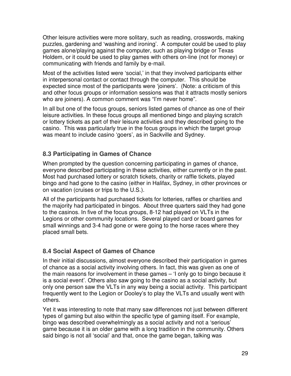Other leisure activities were more solitary, such as reading, crosswords, making puzzles, gardening and 'washing and ironing'. A computer could be used to play games alone/playing against the computer, such as playing bridge or Texas Holdem, or it could be used to play games with others on-line (not for money) or communicating with friends and family by e-mail.

Most of the activities listed were 'social,' in that they involved participants either in interpersonal contact or contact through the computer. This should be expected since most of the participants were 'joiners'. (Note: a criticism of this and other focus groups or information sessions was that it attracts mostly seniors who are joiners). A common comment was "I'm never home".

In all but one of the focus groups, seniors listed games of chance as one of their leisure activities. In these focus groups all mentioned bingo and playing scratch or lottery tickets as part of their leisure activities and they described going to the casino. This was particularly true in the focus groups in which the target group was meant to include casino 'goers', as in Sackville and Sydney.

## **8.3 Participating in Games of Chance**

When prompted by the question concerning participating in games of chance, everyone described participating in these activities, either currently or in the past. Most had purchased lottery or scratch tickets, charity or raffle tickets, played bingo and had gone to the casino (either in Halifax, Sydney, in other provinces or on vacation (cruises or trips to the U.S.).

All of the participants had purchased tickets for lotteries, raffles or charities and the majority had participated in bingos. About three quarters said they had gone to the casinos. In five of the focus groups, 8-12 had played on VLTs in the Legions or other community locations. Several played card or board games for small winnings and 3-4 had gone or were going to the horse races where they placed small bets.

## **8.4 Social Aspect of Games of Chance**

In their initial discussions, almost everyone described their participation in games of chance as a social activity involving others. In fact, this was given as one of the main reasons for involvement in these games – 'I only go to bingo because it is a social event'. Others also saw going to the casino as a social activity, but only one person saw the VLTs in any way being a social activity. This participant frequently went to the Legion or Dooley's to play the VLTs and usually went with others.

Yet it was interesting to note that many saw differences not just between different types of gaming but also within the specific type of gaming itself. For example, bingo was described overwhelmingly as a social activity and not a 'serious' game because it is an older game with a long tradition in the community. Others said bingo is not all 'social' and that, once the game began, talking was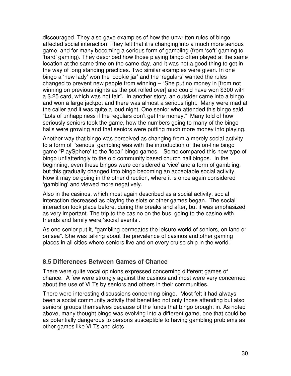discouraged. They also gave examples of how the unwritten rules of bingo affected social interaction. They felt that it is changing into a much more serious game, and for many becoming a serious form of gambling (from 'soft' gaming to 'hard' gaming). They described how those playing bingo often played at the same location at the same time on the same day, and it was not a good thing to get in the way of long standing practices. Two similar examples were given. In one bingo a 'new lady' won the 'cookie jar' and the 'regulars' wanted the rules changed to prevent new people from winning – "She put no money in [from not winning on previous nights as the pot rolled over] and could have won \$300 with a \$.25 card, which was not fair". In another story, an outsider came into a bingo and won a large jackpot and there was almost a serious fight. Many were mad at the caller and it was quite a loud night. One senior who attended this bingo said, "Lots of unhappiness if the regulars don't get the money." Many told of how seriously seniors took the game, how the numbers going to many of the bingo halls were growing and that seniors were putting much more money into playing.

Another way that bingo was perceived as changing from a merely social activity to a form of 'serious' gambling was with the introduction of the on-line bingo game "PlaySphere' to the 'local' bingo games. Some compared this new type of bingo unflatteringly to the old community based church hall bingos. In the beginning, even these bingos were considered a 'vice' and a form of gambling, but this gradually changed into bingo becoming an acceptable social activity. Now it may be going in the other direction, where it is once again considered 'gambling' and viewed more negatively.

Also in the casinos, which most again described as a social activity, social interaction decreased as playing the slots or other games began. The social interaction took place before, during the breaks and after, but it was emphasized as very important. The trip to the casino on the bus, going to the casino with friends and family were 'social events'.

As one senior put it, "gambling permeates the leisure world of seniors, on land or on sea". She was talking about the prevalence of casinos and other gaming places in all cities where seniors live and on every cruise ship in the world.

## **8.5 Differences Between Games of Chance**

There were quite vocal opinions expressed concerning different games of chance. A few were strongly against the casinos and most were very concerned about the use of VLTs by seniors and others in their communities.

There were interesting discussions concerning bingo. Most felt it had always been a social community activity that benefited not only those attending but also seniors' groups themselves because of the funds that bingo brought in. As noted above, many thought bingo was evolving into a different game, one that could be as potentially dangerous to persons susceptible to having gambling problems as other games like VLTs and slots.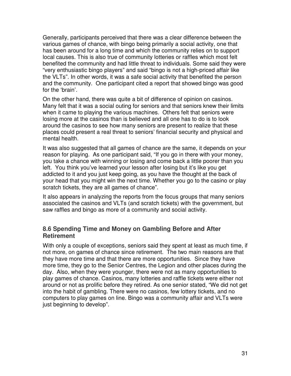Generally, participants perceived that there was a clear difference between the various games of chance, with bingo being primarily a social activity, one that has been around for a long time and which the community relies on to support local causes. This is also true of community lotteries or raffles which most felt benefited the community and had little threat to individuals. Some said they were "very enthusiastic bingo players" and said "bingo is not a high-priced affair like the VLTs". In other words, it was a safe social activity that benefited the person and the community. One participant cited a report that showed bingo was good for the 'brain'.

On the other hand, there was quite a bit of difference of opinion on casinos. Many felt that it was a social outing for seniors and that seniors knew their limits when it came to playing the various machines. Others felt that seniors were losing more at the casinos than is believed and all one has to do is to look around the casinos to see how many seniors are present to realize that these places could present a real threat to seniors' financial security and physical and mental health.

It was also suggested that all games of chance are the same, it depends on your reason for playing. As one participant said, "If you go in there with your money, you take a chance with winning or losing and come back a little poorer than you left. You think you've learned your lesson after losing but it's like you get addicted to it and you just keep going, as you have the thought at the back of your head that you might win the next time. Whether you go to the casino or play scratch tickets, they are all games of chance".

It also appears in analyzing the reports from the focus groups that many seniors associated the casinos and VLTs (and scratch tickets) with the government, but saw raffles and bingo as more of a community and social activity.

## **8.6 Spending Time and Money on Gambling Before and After Retirement**

With only a couple of exceptions, seniors said they spent at least as much time, if not more, on games of chance since retirement. The two main reasons are that they have more time and that there are more opportunities. Since they have more time, they go to the Senior Centres, the Legion and other places during the day. Also, when they were younger, there were not as many opportunities to play games of chance. Casinos, many lotteries and raffle tickets were either not around or not as prolific before they retired. As one senior stated, "We did not get into the habit of gambling. There were no casinos, few lottery tickets, and no computers to play games on line. Bingo was a community affair and VLTs were just beginning to develop".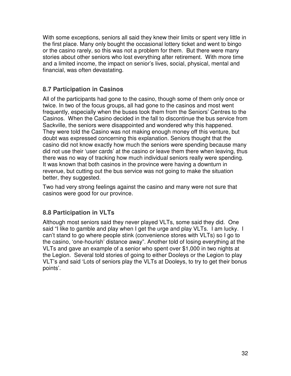With some exceptions, seniors all said they knew their limits or spent very little in the first place. Many only bought the occasional lottery ticket and went to bingo or the casino rarely, so this was not a problem for them. But there were many stories about other seniors who lost everything after retirement. With more time and a limited income, the impact on senior's lives, social, physical, mental and financial, was often devastating.

## **8.7 Participation in Casinos**

All of the participants had gone to the casino, though some of them only once or twice. In two of the focus groups, all had gone to the casinos and most went frequently, especially when the buses took them from the Seniors' Centres to the Casinos. When the Casino decided in the fall to discontinue the bus service from Sackville, the seniors were disappointed and wondered why this happened. They were told the Casino was not making enough money off this venture, but doubt was expressed concerning this explanation. Seniors thought that the casino did not know exactly how much the seniors were spending because many did not use their 'user cards' at the casino or leave them there when leaving, thus there was no way of tracking how much individual seniors really were spending. It was known that both casinos in the province were having a downturn in revenue, but cutting out the bus service was not going to make the situation better, they suggested.

Two had very strong feelings against the casino and many were not sure that casinos were good for our province.

## **8.8 Participation in VLTs**

Although most seniors said they never played VLTs, some said they did. One said "I like to gamble and play when I get the urge and play VLTs. I am lucky. I can't stand to go where people stink (convenience stores with VLTs) so I go to the casino, 'one-hourish' distance away". Another told of losing everything at the VLTs and gave an example of a senior who spent over \$1,000 in two nights at the Legion. Several told stories of going to either Dooleys or the Legion to play VLT's and said 'Lots of seniors play the VLTs at Dooleys, to try to get their bonus points'.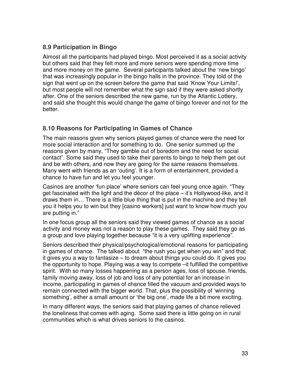## **8.9 Participation in Bingo**

Almost all the participants had played bingo. Most perceived it as a social activity but others said that they felt more and more seniors were spending more time and more money on the game. Several participants talked about the 'new bingo' that was increasingly popular in the bingo halls in the province. They told of the sign that went up on the screen before the game that said 'Know Your Limits!', but most people will not remember what the sign said if they were asked shortly after. One of the seniors described the new game, run by the Atlantic Lottery, and said she thought this would change the game of bingo forever and not for the better.

## **8.10 Reasons for Participating in Games of Chance**

The main reasons given why seniors played games of chance were the need for more social interaction and for something to do. One senior summed up the reasons given by many, "They gamble out of boredom and the need for social contact". Some said they used to take their parents to bingo to help them get out and be with others, and now they are going for the same reasons themselves. Many went with friends as an 'outing'. It is a form of entertainment, provided a chance to have fun and let you feel younger.

Casinos are another 'fun place' where seniors can feel young once again. "They get fascinated with the light and the décor of the place – it's Hollywood-like, and it draws them in… There is a little blue thing that is put in the machine and they tell you it helps you to win but they [casino workers] just want to know how much you are putting in."

In one focus group all the seniors said they viewed games of chance as a social activity and money was not a reason to play these games. They said they go as a group and love playing together because "it is a very uplifting experience".

Seniors described their physical/psychological/emotional reasons for participating in games of chance. The talked about "the rush you get when you win" and that it gives you a way to fantasize – to dream about things you could do. It gives you the opportunity to hope. Playing was a way to compete –it fulfilled the competitive spirit. With so many losses happening as a person ages, loss of spouse, friends, family moving away, loss of job and loss of any potential for an increase in income, participating in games of chance filled the vacuum and provided ways to remain connected with the bigger world. That, plus the possibility of 'winning something', either a small amount or 'the big one', made life a bit more exciting.

In many different ways, the seniors said that playing games of chance relieved the loneliness that comes with aging. Some said there is little going on in rural communities which is what drives seniors to the casinos.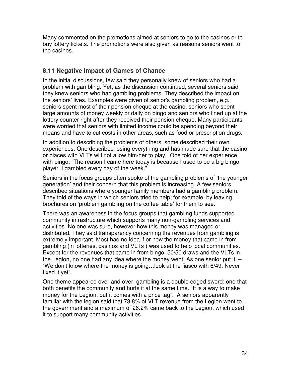Many commented on the promotions aimed at seniors to go to the casinos or to buy lottery tickets. The promotions were also given as reasons seniors went to the casinos.

## **8.11 Negative Impact of Games of Chance**

In the initial discussions, few said they personally knew of seniors who had a problem with gambling. Yet, as the discussion continued, several seniors said they knew seniors who had gambling problems. They described the impact on the seniors' lives. Examples were given of senior's gambling problem, e.g. seniors spent most of their pension cheque at the casino, seniors who spent large amounts of money weekly or daily on bingo and seniors who lined up at the lottery counter right after they received their pension cheque. Many participants were worried that seniors with limited income could be spending beyond their means and have to cut costs in other areas, such as food or prescription drugs.

In addition to describing the problems of others, some described their own experiences. One described losing everything and has made sure that the casino or places with VLTs will not allow him/her to play. One told of her experience with bingo: "The reason I came here today is because I used to be a big bingo player. I gambled every day of the week."

Seniors in the focus groups often spoke of the gambling problems of 'the younger generation' and their concern that this problem is increasing. A few seniors described situations where younger family members had a gambling problem. They told of the ways in which seniors tried to help; for example, by leaving brochures on 'problem gambling on the coffee table' for them to see.

There was an awareness in the focus groups that gambling funds supported community infrastructure which supports many non-gambling services and activities. No one was sure, however how this money was managed or distributed. They said transparency concerning the revenues from gambling is extremely important. Most had no idea if or how the money that came in from gambling (in lotteries, casinos and VLTs ) was used to help local communities. Except for the revenues that came in from bingo, 50/50 draws and the VLTs in the Legion, no one had any idea where the money went. As one senior put it, – "We don't know where the money is going…look at the fiasco with 6/49. Never fixed it yet".

One theme appeared over and over: gambling is a double edged sword; one that both benefits the community and hurts it at the same time. "It is a way to make money for the Legion, but it comes with a price tag". A seniors apparently familiar with the legion said that 73.8% of VLT revenue from the Legion went to the government and a maximum of 26.2% came back to the Legion, which used it to support many community activities.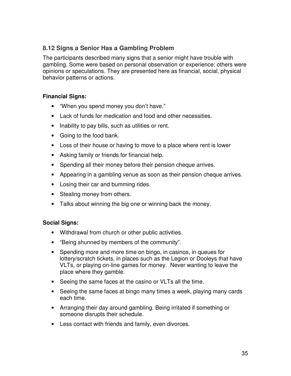## **8.12 Signs a Senior Has a Gambling Problem**

The participants described many signs that a senior might have trouble with gambling. Some were based on personal observation or experience: others were opinions or speculations. They are presented here as financial, social, physical behavior patterns or actions.

#### **Financial Signs:**

- "When you spend money you don't have."
- Lack of funds for medication and food and other necessities.
- Inability to pay bills, such as utilities or rent.
- Going to the food bank.
- Loss of their house or having to move to a place where rent is lower
- Asking family or friends for financial help.
- Spending all their money before their pension cheque arrives.
- Appearing in a gambling venue as soon as their pension cheque arrives.
- Losing their car and bumming rides.
- Stealing money from others.
- Talks about winning the big one or winning back the money.

#### **Social Signs:**

- Withdrawal from church or other public activities.
- "Being shunned by members of the community".
- Spending more and more time on bingo, in casinos, in queues for lottery/scratch tickets, in places such as the Legion or Dooleys that have VLTs, or playing on-line games for money. Never wanting to leave the place where they gamble.
- Seeing the same faces at the casino or VLTs all the time.
- Seeing the same faces at bingo many times a week, playing many cards each time.
- Arranging their day around gambling. Being irritated if something or someone disrupts their schedule.
- Less contact with friends and family, even divorces.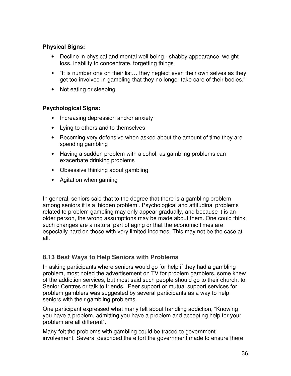### **Physical Signs:**

- Decline in physical and mental well being shabby appearance, weight loss, inability to concentrate, forgetting things
- "It is number one on their list... they neglect even their own selves as they get too involved in gambling that they no longer take care of their bodies."
- Not eating or sleeping

## **Psychological Signs:**

- Increasing depression and/or anxiety
- Lying to others and to themselves
- Becoming very defensive when asked about the amount of time they are spending gambling
- Having a sudden problem with alcohol, as gambling problems can exacerbate drinking problems
- Obsessive thinking about gambling
- Agitation when gaming

In general, seniors said that to the degree that there is a gambling problem among seniors it is a 'hidden problem'. Psychological and attitudinal problems related to problem gambling may only appear gradually, and because it is an older person, the wrong assumptions may be made about them. One could think such changes are a natural part of aging or that the economic times are especially hard on those with very limited incomes. This may not be the case at all.

## **8.13 Best Ways to Help Seniors with Problems**

In asking participants where seniors would go for help if they had a gambling problem, most noted the advertisement on TV for problem gamblers, some knew of the addiction services, but most said such people should go to their church, to Senior Centres or talk to friends. Peer support or mutual support services for problem gamblers was suggested by several participants as a way to help seniors with their gambling problems.

One participant expressed what many felt about handling addiction, "Knowing you have a problem, admitting you have a problem and accepting help for your problem are all different".

Many felt the problems with gambling could be traced to government involvement. Several described the effort the government made to ensure there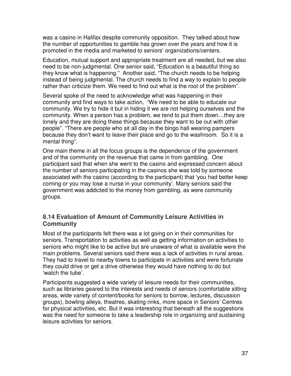was a casino in Halifax despite community opposition. They talked about how the number of opportunities to gamble has grown over the years and how it is promoted in the media and marketed to seniors' organizations/centers.

Education, mutual support and appropriate treatment are all needed, but we also need to be non-judgmental. One senior said, "Education is a beautiful thing so they know what is happening." Another said, "The church needs to be helping instead of being judgmental. The church needs to find a way to explain to people rather than criticize them. We need to find out what is the root of the problem".

Several spoke of the need to acknowledge what was happening in their community and find ways to take action, "We need to be able to educate our community. We try to hide it but in hiding it we are not helping ourselves and the community. When a person has a problem, we tend to put them down…they are lonely and they are doing these things because they want to be out with other people". "There are people who sit all day in the bingo hall wearing pampers because they don't want to leave their place and go to the washroom. So it is a mental thing".

One main theme in all the focus groups is the dependence of the government and of the community on the revenue that came in from gambling. One participant said that when she went to the casino and expressed concern about the number of seniors participating in the casinos she was told by someone associated with the casino (according to the participant) that 'you had better keep coming or you may lose a nurse in your community'. Many seniors said the government was addicted to the money from gambling, as were community groups.

### **8.14 Evaluation of Amount of Community Leisure Activities in Community**

Most of the participants felt there was a lot going on in their communities for seniors. Transportation to activities as well as getting information on activities to seniors who might like to be active but are unaware of what is available were the main problems. Several seniors said there was a lack of activities in rural areas. They had to travel to nearby towns to participate in activities and were fortunate they could drive or get a drive otherwise they would have nothing to do but 'watch the tube'.

Participants suggested a wide variety of leisure needs for their communities, such as libraries geared to the interests and needs of seniors (comfortable sitting areas, wide variety of content/books for seniors to borrow, lectures, discussion groups), bowling alleys, theatres, skating rinks, more space in Seniors' Centres for physical activities, etc. But it was interesting that beneath all the suggestions was the need for someone to take a leadership role in organizing and sustaining leisure activities for seniors.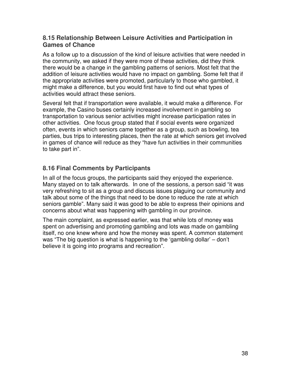### **8.15 Relationship Between Leisure Activities and Participation in Games of Chance**

As a follow up to a discussion of the kind of leisure activities that were needed in the community, we asked if they were more of these activities, did they think there would be a change in the gambling patterns of seniors. Most felt that the addition of leisure activities would have no impact on gambling. Some felt that if the appropriate activities were promoted, particularly to those who gambled, it might make a difference, but you would first have to find out what types of activities would attract these seniors.

Several felt that if transportation were available, it would make a difference. For example, the Casino buses certainly increased involvement in gambling so transportation to various senior activities might increase participation rates in other activities. One focus group stated that if social events were organized often, events in which seniors came together as a group, such as bowling, tea parties, bus trips to interesting places, then the rate at which seniors get involved in games of chance will reduce as they "have fun activities in their communities to take part in".

## **8.16 Final Comments by Participants**

In all of the focus groups, the participants said they enjoyed the experience. Many stayed on to talk afterwards. In one of the sessions, a person said "it was very refreshing to sit as a group and discuss issues plaguing our community and talk about some of the things that need to be done to reduce the rate at which seniors gamble". Many said it was good to be able to express their opinions and concerns about what was happening with gambling in our province.

The main complaint, as expressed earlier, was that while lots of money was spent on advertising and promoting gambling and lots was made on gambling itself, no one knew where and how the money was spent. A common statement was "The big question is what is happening to the 'gambling dollar' – don't believe it is going into programs and recreation".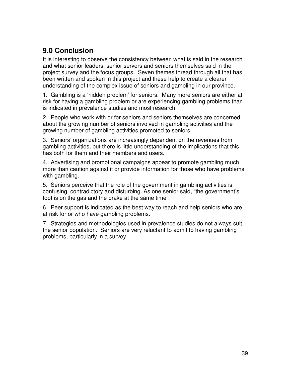# **9.0 Conclusion**

It is interesting to observe the consistency between what is said in the research and what senior leaders, senior servers and seniors themselves said in the project survey and the focus groups. Seven themes thread through all that has been written and spoken in this project and these help to create a clearer understanding of the complex issue of seniors and gambling in our province.

1. Gambling is a 'hidden problem' for seniors. Many more seniors are either at risk for having a gambling problem or are experiencing gambling problems than is indicated in prevalence studies and most research.

2. People who work with or for seniors and seniors themselves are concerned about the growing number of seniors involved in gambling activities and the growing number of gambling activities promoted to seniors.

3. Seniors' organizations are increasingly dependent on the revenues from gambling activities, but there is little understanding of the implications that this has both for them and their members and users.

4. Advertising and promotional campaigns appear to promote gambling much more than caution against it or provide information for those who have problems with gambling.

5. Seniors perceive that the role of the government in gambling activities is confusing, contradictory and disturbing. As one senior said, "the government's foot is on the gas and the brake at the same time".

6. Peer support is indicated as the best way to reach and help seniors who are at risk for or who have gambling problems.

7. Strategies and methodologies used in prevalence studies do not always suit the senior population. Seniors are very reluctant to admit to having gambling problems, particularly in a survey.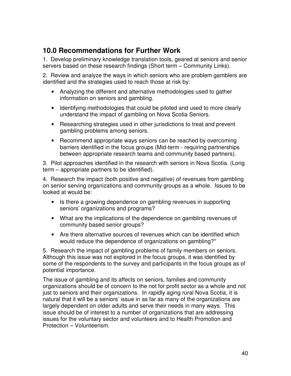# **10.0 Recommendations for Further Work**

1. Develop preliminary knowledge translation tools, geared at seniors and senior servers based on these research findings (Short term – Community Links).

2. Review and analyze the ways in which seniors who are problem gamblers are identified and the strategies used to reach those at risk by:

- Analyzing the different and alternative methodologies used to gather information on seniors and gambling.
- Identifying methodologies that could be piloted and used to more clearly understand the impact of gambling on Nova Scotia Seniors.
- Researching strategies used in other jurisdictions to treat and prevent gambling problems among seniors.
- Recommend appropriate ways seniors can be reached by overcoming barriers identified in the focus groups (Mid-term - requiring partnerships between appropriate research teams and community based partners).

3. Pilot approaches identified in the research with seniors in Nova Scotia. (Long term – appropriate partners to be identified).

4. Research the impact (both positive and negative) of revenues from gambling on senior serving organizations and community groups as a whole. Issues to be looked at would be:

- Is there a growing dependence on gambling revenues in supporting seniors' organizations and programs?
- What are the implications of the dependence on gambling revenues of community based senior groups?
- Are there alternative sources of revenues which can be identified which would reduce the dependence of organizations on gambling?\*

5. Research the impact of gambling problems of family members on seniors. Although this issue was not explored in the focus groups, it was identified by some of the respondents to the survey and participants in the focus groups as of potential importance.

The issue of gambling and its affects on seniors, families and community organizations should be of concern to the not for profit sector as a whole and not just to seniors and their organizations. In rapidly aging rural Nova Scotia, it is natural that it will be a seniors' issue in as far as many of the organizations are largely dependent on older adults and serve their needs in many ways. This issue should be of interest to a number of organizations that are addressing issues for the voluntary sector and volunteers and to Health Promotion and Protection – Volunteerism.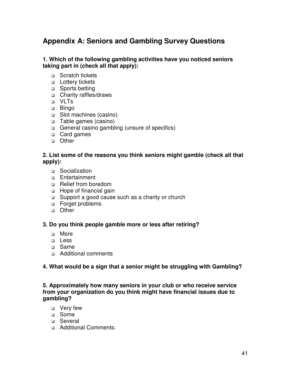# **Appendix A: Seniors and Gambling Survey Questions**

#### **1. Which of the following gambling activities have you noticed seniors taking part in (check all that apply):**

- Scratch tickets
- □ Lottery tickets
- Sports betting
- Charity raffles/draws
- VLTs
- Bingo
- Slot machines (casino)
- Table games (casino)
- General casino gambling (unsure of specifics)
- □ Card games
- o Other

#### **2. List some of the reasons you think seniors might gamble (check all that apply):**

- Socialization
- Entertainment
- Relief from boredom
- Hope of financial gain
- □ Support a good cause such as a charity or church
- Forget problems
- Other

#### **3. Do you think people gamble more or less after retiring?**

- o More
- **u** Less
- Same
- Additional comments

#### **4. What would be a sign that a senior might be struggling with Gambling?**

**5. Approximately how many seniors in your club or who receive service from your organization do you think might have financial issues due to gambling?**

- □ Very few
- □ Some
- □ Several
- Additional Comments: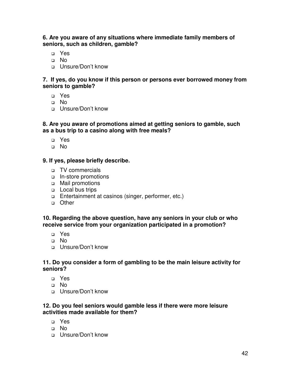**6. Are you aware of any situations where immediate family members of seniors, such as children, gamble?**

- Yes
- No
- Unsure/Don't know

#### **7. If yes, do you know if this person or persons ever borrowed money from seniors to gamble?**

- Yes
- No
- □ Unsure/Don't know

#### **8. Are you aware of promotions aimed at getting seniors to gamble, such as a bus trip to a casino along with free meals?**

- Yes
- No

### **9. If yes, please briefly describe.**

- TV commercials
- In-store promotions
- Mail promotions
- □ Local bus trips
- Entertainment at casinos (singer, performer, etc.)
- Other

#### **10. Regarding the above question, have any seniors in your club or who receive service from your organization participated in a promotion?**

- Yes
- No
- □ Unsure/Don't know

#### **11. Do you consider a form of gambling to be the main leisure activity for seniors?**

- Yes
- No
- □ Unsure/Don't know

#### **12. Do you feel seniors would gamble less if there were more leisure activities made available for them?**

- Yes
- No
- □ Unsure/Don't know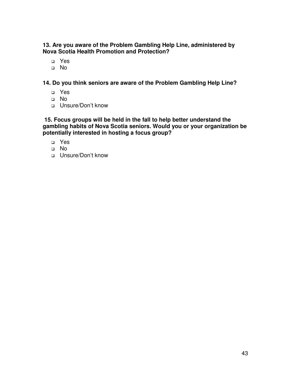**13. Are you aware of the Problem Gambling Help Line, administered by Nova Scotia Health Promotion and Protection?**

Yes

No

**14. Do you think seniors are aware of the Problem Gambling Help Line?**

- Yes
- No
- Unsure/Don't know

**15. Focus groups will be held in the fall to help better understand the gambling habits of Nova Scotia seniors. Would you or your organization be potentially interested in hosting a focus group?**

- Yes
- No
- □ Unsure/Don't know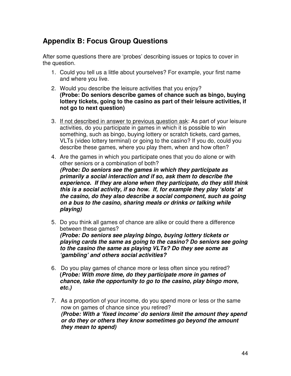# **Appendix B: Focus Group Questions**

After some questions there are 'probes' describing issues or topics to cover in the question.

- 1. Could you tell us a little about yourselves? For example, your first name and where you live.
- 2. Would you describe the leisure activities that you enjoy? **(Probe: Do seniors describe games of chance such as bingo, buying lottery tickets, going to the casino as part of their leisure activities, if not go to next question)**
- 3. If not described in answer to previous question ask: As part of your leisure activities, do you participate in games in which it is possible to win something, such as bingo, buying lottery or scratch tickets, card games, VLTs (video lottery terminal) or going to the casino? If you do, could you describe these games, where you play them, when and how often?
- 4. Are the games in which you participate ones that you do alone or with other seniors or a combination of both? *(Probe: Do seniors see the games in which they participate as primarily a social interaction and if so, ask them to describe the experience. If they are alone when they participate, do they still think this is a social activity, if so how. If, for example they play 'slots' at the casino, do they also describe a social component, such as going on a bus to the casino, sharing meals or drinks or talking while playing)*
- 5. Do you think all games of chance are alike or could there a difference between these games? *(Probe: Do seniors see playing bingo, buying lottery tickets or playing cards the same as going to the casino? Do seniors see going to the casino the same as playing VLTs? Do they see some as 'gambling' and others social activities?*
- 6. Do you play games of chance more or less often since you retired? **(***Probe: With more time, do they participate more in games of chance, take the opportunity to go to the casino, play bingo more, etc.)*
- 7. As a proportion of your income, do you spend more or less or the same now on games of chance since you retired? *(Probe: With a 'fixed income' do seniors limit the amount they spend or do they or others they know sometimes go beyond the amount they mean to spend)*